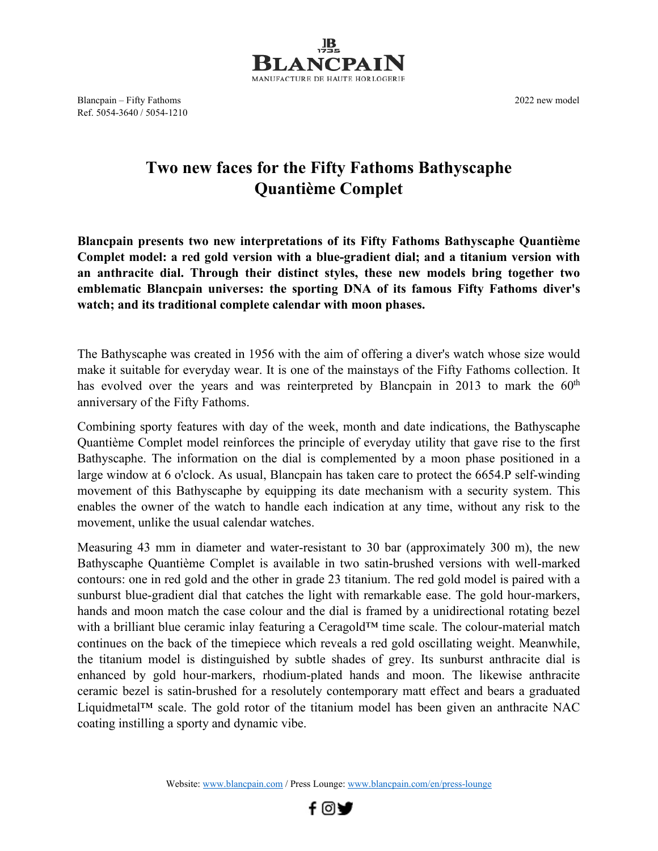

Blancpain – Fifty Fathoms 2022 new model Ref. 5054-3640 / 5054-1210

## **Two new faces for the Fifty Fathoms Bathyscaphe Quantième Complet**

**Blancpain presents two new interpretations of its Fifty Fathoms Bathyscaphe Quantième Complet model: a red gold version with a blue-gradient dial; and a titanium version with an anthracite dial. Through their distinct styles, these new models bring together two emblematic Blancpain universes: the sporting DNA of its famous Fifty Fathoms diver's watch; and its traditional complete calendar with moon phases.**

The Bathyscaphe was created in 1956 with the aim of offering a diver's watch whose size would make it suitable for everyday wear. It is one of the mainstays of the Fifty Fathoms collection. It has evolved over the years and was reinterpreted by Blancpain in 2013 to mark the  $60<sup>th</sup>$ anniversary of the Fifty Fathoms.

Combining sporty features with day of the week, month and date indications, the Bathyscaphe Quantième Complet model reinforces the principle of everyday utility that gave rise to the first Bathyscaphe. The information on the dial is complemented by a moon phase positioned in a large window at 6 o'clock. As usual, Blancpain has taken care to protect the 6654.P self-winding movement of this Bathyscaphe by equipping its date mechanism with a security system. This enables the owner of the watch to handle each indication at any time, without any risk to the movement, unlike the usual calendar watches.

Measuring 43 mm in diameter and water-resistant to 30 bar (approximately 300 m), the new Bathyscaphe Quantième Complet is available in two satin-brushed versions with well-marked contours: one in red gold and the other in grade 23 titanium. The red gold model is paired with a sunburst blue-gradient dial that catches the light with remarkable ease. The gold hour-markers, hands and moon match the case colour and the dial is framed by a unidirectional rotating bezel with a brilliant blue ceramic inlay featuring a Ceragold™ time scale. The colour-material match continues on the back of the timepiece which reveals a red gold oscillating weight. Meanwhile, the titanium model is distinguished by subtle shades of grey. Its sunburst anthracite dial is enhanced by gold hour-markers, rhodium-plated hands and moon. The likewise anthracite ceramic bezel is satin-brushed for a resolutely contemporary matt effect and bears a graduated Liquidmetal™ scale. The gold rotor of the titanium model has been given an anthracite NAC coating instilling a sporty and dynamic vibe.